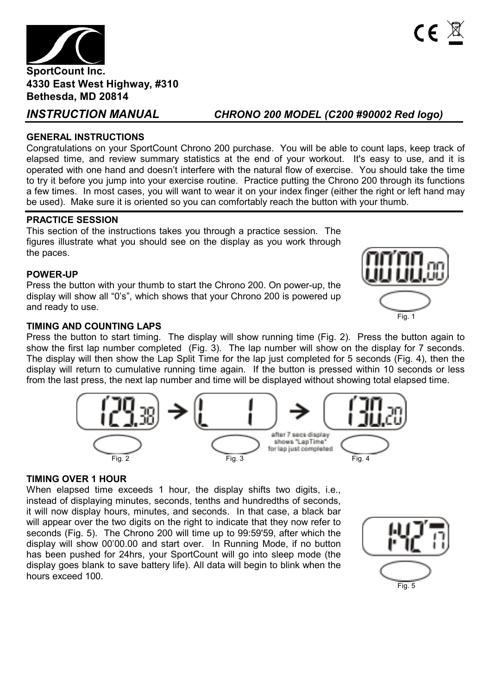

*INSTRUCTION MANUAL CHRONO 200 MODEL (C200 #90002 Red logo)*

## **GENERAL INSTRUCTIONS**

Congratulations on your SportCount Chrono 200 purchase. You will be able to count laps, keep track of elapsed time, and review summary statistics at the end of your workout. It's easy to use, and it is operated with one hand and doesn't interfere with the natural flow of exercise. You should take the time to try it before you jump into your exercise routine. Practice putting the Chrono 200 through its functions a few times. In most cases, you will want to wear it on your index finger (either the right or left hand may be used). Make sure it is oriented so you can comfortably reach the button with your thumb.

#### **PRACTICE SESSION**

This section of the instructions takes you through a practice session. The figures illustrate what you should see on the display as you work through the paces.

#### **POWER-UP**

Press the button with your thumb to start the Chrono 200. On power-up, the display will show all "0's", which shows that your Chrono 200 is powered up and ready to use.



#### **TIMING AND COUNTING LAPS**

Press the button to start timing. The display will show running time (Fig. 2). Press the button again to show the first lap number completed (Fig. 3). The lap number will show on the display for 7 seconds. The display will then show the Lap Split Time for the lap just completed for 5 seconds (Fig. 4), then the display will return to cumulative running time again. If the button is pressed within 10 seconds or less from the last press, the next lap number and time will be displayed without showing total elapsed time.



#### **TIMING OVER 1 HOUR**

When elapsed time exceeds 1 hour, the display shifts two digits, i.e., instead of displaying minutes, seconds, tenths and hundredths of seconds, it will now display hours, minutes, and seconds. In that case, a black bar will appear over the two digits on the right to indicate that they now refer to seconds (Fig. 5). The Chrono 200 will time up to 99:59'59, after which the display will show 00'00.00 and start over. In Running Mode, if no button has been pushed for 24hrs, your SportCount will go into sleep mode (the display goes blank to save battery life). All data will begin to blink when the hours exceed 100.

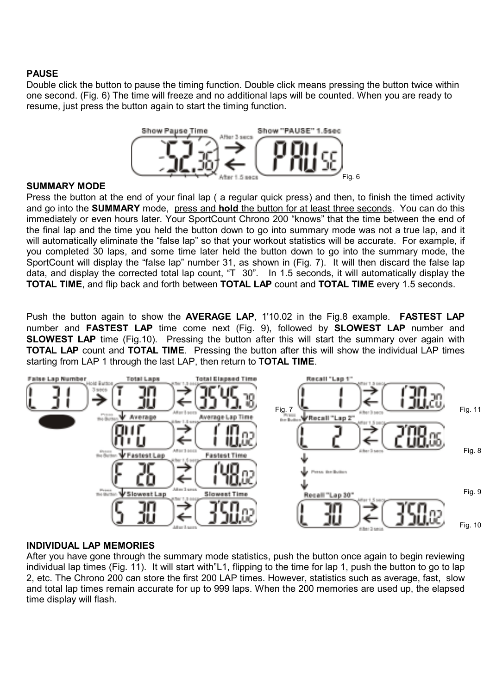## **PAUSE**

Double click the button to pause the timing function. Double click means pressing the button twice within one second. (Fig. 6) The time will freeze and no additional laps will be counted. When you are ready to resume, just press the button again to start the timing function.



#### **SUMMARY MODE**

Press the button at the end of your final lap ( a regular quick press) and then, to finish the timed activity and go into the **SUMMARY** mode, press and **hold** the button for at least three seconds. You can do this immediately or even hours later. Your SportCount Chrono 200 "knows" that the time between the end of the final lap and the time you held the button down to go into summary mode was not a true lap, and it will automatically eliminate the "false lap" so that your workout statistics will be accurate. For example, if you completed 30 laps, and some time later held the button down to go into the summary mode, the SportCount will display the "false lap" number 31, as shown in (Fig. 7). It will then discard the false lap data, and display the corrected total lap count, "T 30". In 1.5 seconds, it will automatically display the **TOTAL TIME**, and flip back and forth between **TOTAL LAP** count and **TOTAL TIME** every 1.5 seconds.

Push the button again to show the **AVERAGE LAP**, 1'10.02 in the Fig.8 example. **FASTEST LAP**  number and **FASTEST LAP** time come next (Fig. 9), followed by **SLOWEST LAP** number and **SLOWEST LAP** time (Fig.10). Pressing the button after this will start the summary over again with **TOTAL LAP** count and **TOTAL TIME**. Pressing the button after this will show the individual LAP times starting from LAP 1 through the last LAP, then return to **TOTAL TIME**.



## **INDIVIDUAL LAP MEMORIES**

After you have gone through the summary mode statistics, push the button once again to begin reviewing individual lap times (Fig. 11). It will start with"L1, flipping to the time for lap 1, push the button to go to lap 2, etc. The Chrono 200 can store the first 200 LAP times. However, statistics such as average, fast, slow and total lap times remain accurate for up to 999 laps. When the 200 memories are used up, the elapsed time display will flash.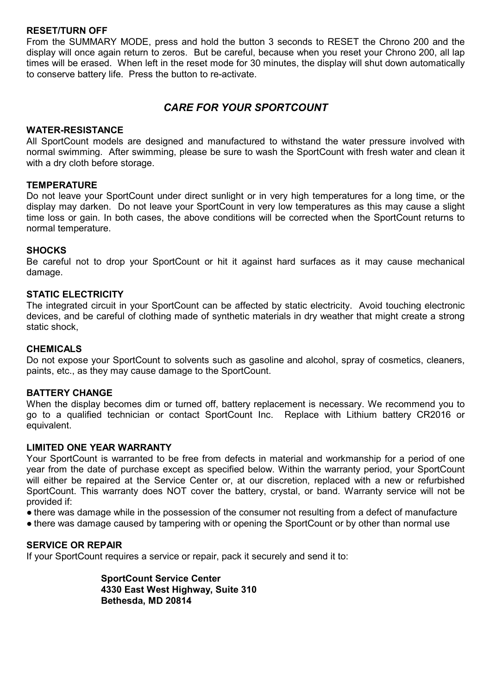### **RESET/TURN OFF**

From the SUMMARY MODE, press and hold the button 3 seconds to RESET the Chrono 200 and the display will once again return to zeros. But be careful, because when you reset your Chrono 200, all lap times will be erased. When left in the reset mode for 30 minutes, the display will shut down automatically to conserve battery life. Press the button to re-activate.

# *CARE FOR YOUR SPORTCOUNT*

#### **WATER-RESISTANCE**

All SportCount models are designed and manufactured to withstand the water pressure involved with normal swimming. After swimming, please be sure to wash the SportCount with fresh water and clean it with a dry cloth before storage.

#### **TEMPERATURE**

Do not leave your SportCount under direct sunlight or in very high temperatures for a long time, or the display may darken. Do not leave your SportCount in very low temperatures as this may cause a slight time loss or gain. In both cases, the above conditions will be corrected when the SportCount returns to normal temperature.

### **SHOCKS**

Be careful not to drop your SportCount or hit it against hard surfaces as it may cause mechanical damage.

#### **STATIC ELECTRICITY**

The integrated circuit in your SportCount can be affected by static electricity. Avoid touching electronic devices, and be careful of clothing made of synthetic materials in dry weather that might create a strong static shock,

#### **CHEMICALS**

Do not expose your SportCount to solvents such as gasoline and alcohol, spray of cosmetics, cleaners, paints, etc., as they may cause damage to the SportCount.

### **BATTERY CHANGE**

When the display becomes dim or turned off, battery replacement is necessary. We recommend you to go to a qualified technician or contact SportCount Inc. Replace with Lithium battery CR2016 or equivalent.

## **LIMITED ONE YEAR WARRANTY**

Your SportCount is warranted to be free from defects in material and workmanship for a period of one year from the date of purchase except as specified below. Within the warranty period, your SportCount will either be repaired at the Service Center or, at our discretion, replaced with a new or refurbished SportCount. This warranty does NOT cover the battery, crystal, or band. Warranty service will not be provided if:

● there was damage while in the possession of the consumer not resulting from a defect of manufacture

• there was damage caused by tampering with or opening the SportCount or by other than normal use

## **SERVICE OR REPAIR**

If your SportCount requires a service or repair, pack it securely and send it to:

**SportCount Service Center 4330 East West Highway, Suite 310 Bethesda, MD 20814**